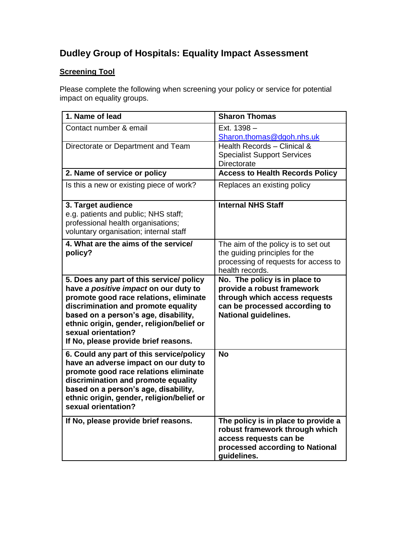## **Dudley Group of Hospitals: Equality Impact Assessment**

## **Screening Tool**

Please complete the following when screening your policy or service for potential impact on equality groups.

| 1. Name of lead                                                                                                                                                                                                                                                                                                        | <b>Sharon Thomas</b>                                                                                                                                         |
|------------------------------------------------------------------------------------------------------------------------------------------------------------------------------------------------------------------------------------------------------------------------------------------------------------------------|--------------------------------------------------------------------------------------------------------------------------------------------------------------|
| Contact number & email                                                                                                                                                                                                                                                                                                 | Ext. 1398 -<br>Sharon.thomas@dgoh.nhs.uk                                                                                                                     |
| Directorate or Department and Team                                                                                                                                                                                                                                                                                     | Health Records - Clinical &<br><b>Specialist Support Services</b><br>Directorate                                                                             |
| 2. Name of service or policy                                                                                                                                                                                                                                                                                           | <b>Access to Health Records Policy</b>                                                                                                                       |
| Is this a new or existing piece of work?                                                                                                                                                                                                                                                                               | Replaces an existing policy                                                                                                                                  |
| 3. Target audience<br>e.g. patients and public; NHS staff;<br>professional health organisations;<br>voluntary organisation; internal staff                                                                                                                                                                             | <b>Internal NHS Staff</b>                                                                                                                                    |
| 4. What are the aims of the service/<br>policy?                                                                                                                                                                                                                                                                        | The aim of the policy is to set out<br>the guiding principles for the<br>processing of requests for access to<br>health records.                             |
| 5. Does any part of this service/ policy<br>have a positive impact on our duty to<br>promote good race relations, eliminate<br>discrimination and promote equality<br>based on a person's age, disability,<br>ethnic origin, gender, religion/belief or<br>sexual orientation?<br>If No, please provide brief reasons. | No. The policy is in place to<br>provide a robust framework<br>through which access requests<br>can be processed according to<br><b>National guidelines.</b> |
| 6. Could any part of this service/policy<br>have an adverse impact on our duty to<br>promote good race relations eliminate<br>discrimination and promote equality<br>based on a person's age, disability,<br>ethnic origin, gender, religion/belief or<br>sexual orientation?                                          | <b>No</b>                                                                                                                                                    |
| If No, please provide brief reasons.                                                                                                                                                                                                                                                                                   | The policy is in place to provide a<br>robust framework through which<br>access requests can be<br>processed according to National<br>guidelines.            |